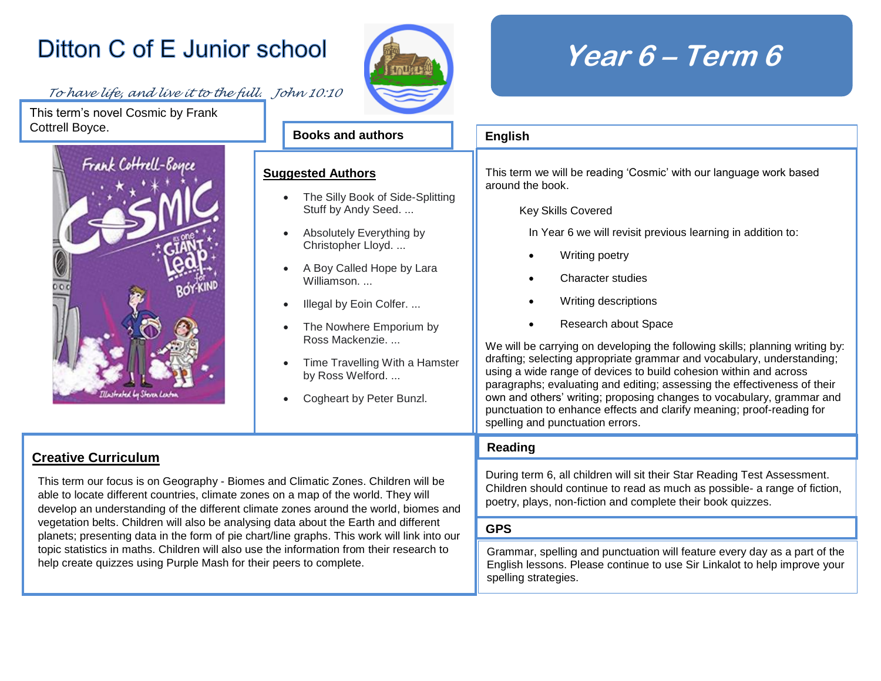## Ditton C of E Junior school

## *To have life, and live it to the full. John 10:10*

This term's novel Cosmic by Frank Cottrell Boyce.





**English**

spelling strategies.

**Books and authors**

**Suggested Authors**

## **Year 6 – Term 6**

|                                                                                                                                                                    | பாதாசா                                                                                                                                                                                                                                                                                                                                                                                                                                                                                                                |  |  |
|--------------------------------------------------------------------------------------------------------------------------------------------------------------------|-----------------------------------------------------------------------------------------------------------------------------------------------------------------------------------------------------------------------------------------------------------------------------------------------------------------------------------------------------------------------------------------------------------------------------------------------------------------------------------------------------------------------|--|--|
| <u>qgested Authors</u>                                                                                                                                             | This term we will be reading 'Cosmic' with our language work based<br>around the book.                                                                                                                                                                                                                                                                                                                                                                                                                                |  |  |
| The Silly Book of Side-Splitting<br>$\bullet$<br>Stuff by Andy Seed.                                                                                               | <b>Key Skills Covered</b>                                                                                                                                                                                                                                                                                                                                                                                                                                                                                             |  |  |
| Absolutely Everything by<br>$\bullet$<br>Christopher Lloyd.                                                                                                        | In Year 6 we will revisit previous learning in addition to:                                                                                                                                                                                                                                                                                                                                                                                                                                                           |  |  |
| A Boy Called Hope by Lara<br>$\bullet$<br>Williamson                                                                                                               | Writing poetry<br>Character studies                                                                                                                                                                                                                                                                                                                                                                                                                                                                                   |  |  |
| Illegal by Eoin Colfer.<br>$\bullet$                                                                                                                               | Writing descriptions                                                                                                                                                                                                                                                                                                                                                                                                                                                                                                  |  |  |
| The Nowhere Emporium by<br>$\bullet$<br>Ross Mackenzie<br>Time Travelling With a Hamster<br>$\bullet$<br>by Ross Welford.<br>Cogheart by Peter Bunzl.<br>$\bullet$ | Research about Space<br>We will be carrying on developing the following skills; planning writing by:<br>drafting; selecting appropriate grammar and vocabulary, understanding;<br>using a wide range of devices to build cohesion within and across<br>paragraphs; evaluating and editing; assessing the effectiveness of their<br>own and others' writing; proposing changes to vocabulary, grammar and<br>punctuation to enhance effects and clarify meaning; proof-reading for<br>spelling and punctuation errors. |  |  |
|                                                                                                                                                                    | Reading                                                                                                                                                                                                                                                                                                                                                                                                                                                                                                               |  |  |
| d Climatic Zones. Children will be<br>n a map of the world. They will<br>zones around the world, biomes and                                                        | During term 6, all children will sit their Star Reading Test Assessment.<br>Children should continue to read as much as possible- a range of fiction,<br>poetry, plays, non-fiction and complete their book quizzes.                                                                                                                                                                                                                                                                                                  |  |  |
| ata about the Earth and different<br>ne graphs. This work will link into our                                                                                       | <b>GPS</b>                                                                                                                                                                                                                                                                                                                                                                                                                                                                                                            |  |  |
| information from their research to                                                                                                                                 | Grammar, spelling and punctuation will feature every day as a part of the                                                                                                                                                                                                                                                                                                                                                                                                                                             |  |  |

English lessons. Please continue to use Sir Linkalot to help improve your

## **Creative Curriculum**

This term our focus is on Geography - Biomes and Climatic Zones. Children able to locate different countries, climate zones on a map of the world. They develop an understanding of the different climate zones around the world, bi vegetation belts. Children will also be analysing data about the Earth and dif planets; presenting data in the form of pie chart/line graphs. This work will lin topic statistics in maths. Children will also use the information from their research to help create quizzes using Purple Mash for their peers to complete.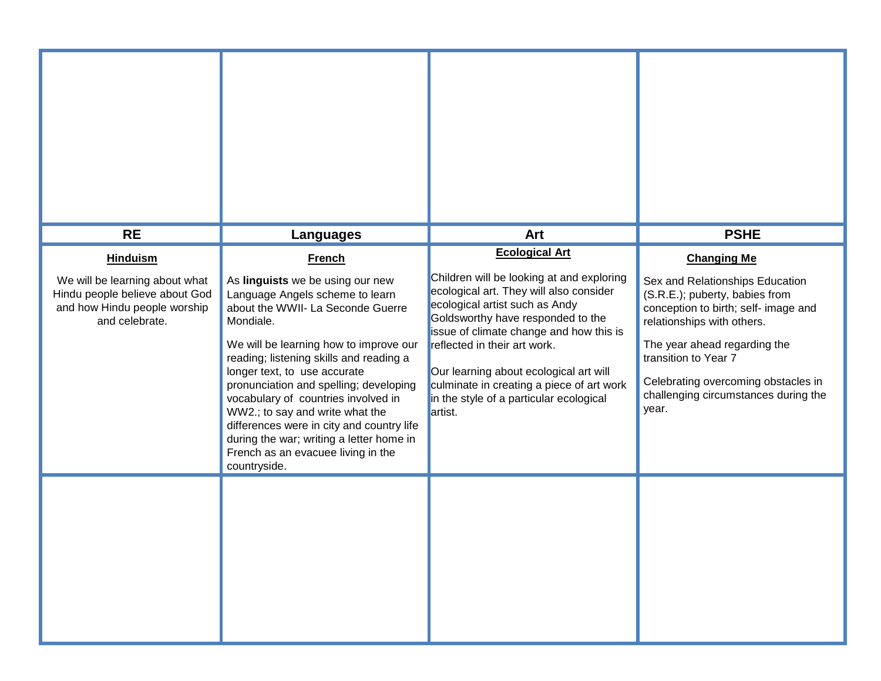| <b>RE</b>                                                                                                                             | <b>Languages</b>                                                                                                                                                                                                                                                                                                                                                                                                                                                                                                               | Art                                                                                                                                                                                                                                                                                                                                                                                                          | <b>PSHE</b>                                                                                                                                                                                                                                                                                                   |
|---------------------------------------------------------------------------------------------------------------------------------------|--------------------------------------------------------------------------------------------------------------------------------------------------------------------------------------------------------------------------------------------------------------------------------------------------------------------------------------------------------------------------------------------------------------------------------------------------------------------------------------------------------------------------------|--------------------------------------------------------------------------------------------------------------------------------------------------------------------------------------------------------------------------------------------------------------------------------------------------------------------------------------------------------------------------------------------------------------|---------------------------------------------------------------------------------------------------------------------------------------------------------------------------------------------------------------------------------------------------------------------------------------------------------------|
| <b>Hinduism</b><br>We will be learning about what<br>Hindu people believe about God<br>and how Hindu people worship<br>and celebrate. | <b>French</b><br>As linguists we be using our new<br>Language Angels scheme to learn<br>about the WWII- La Seconde Guerre<br>Mondiale.<br>We will be learning how to improve our<br>reading; listening skills and reading a<br>longer text, to use accurate<br>pronunciation and spelling; developing<br>vocabulary of countries involved in<br>WW2.; to say and write what the<br>differences were in city and country life<br>during the war; writing a letter home in<br>French as an evacuee living in the<br>countryside. | <b>Ecological Art</b><br>Children will be looking at and exploring<br>ecological art. They will also consider<br>ecological artist such as Andy<br>Goldsworthy have responded to the<br>issue of climate change and how this is<br>reflected in their art work.<br>Our learning about ecological art will<br>culminate in creating a piece of art work<br>in the style of a particular ecological<br>artist. | <b>Changing Me</b><br>Sex and Relationships Education<br>(S.R.E.); puberty, babies from<br>conception to birth; self- image and<br>relationships with others.<br>The year ahead regarding the<br>transition to Year 7<br>Celebrating overcoming obstacles in<br>challenging circumstances during the<br>year. |
|                                                                                                                                       |                                                                                                                                                                                                                                                                                                                                                                                                                                                                                                                                |                                                                                                                                                                                                                                                                                                                                                                                                              |                                                                                                                                                                                                                                                                                                               |